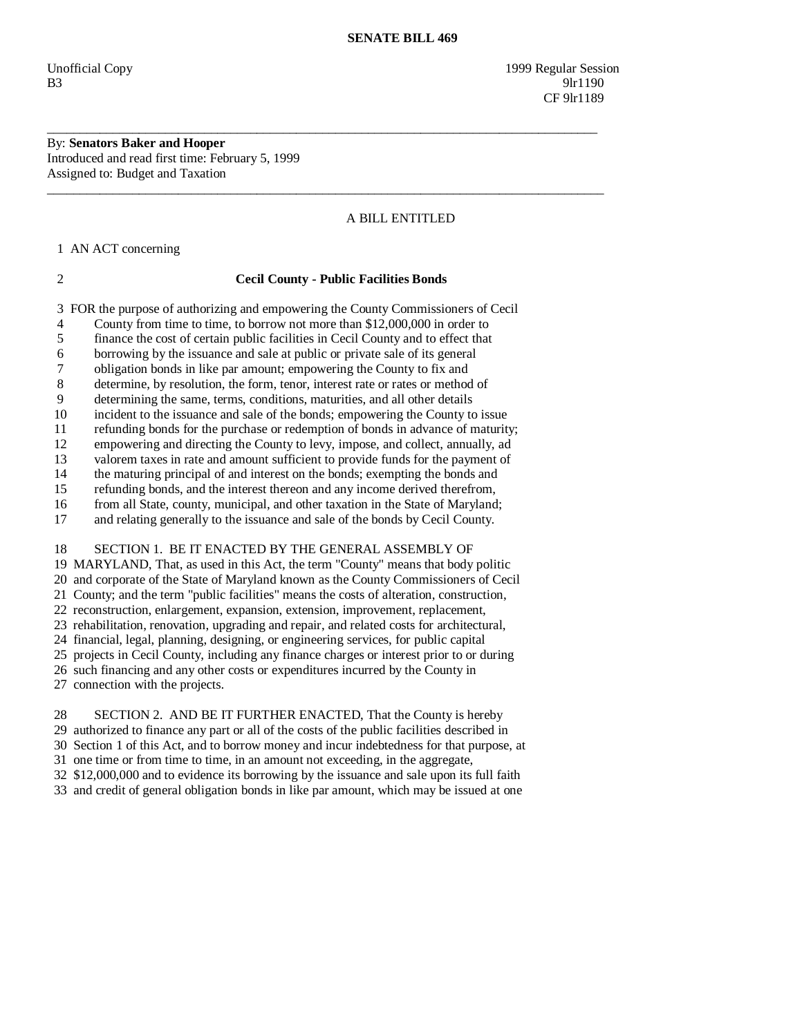Unofficial Copy 1999 Regular Session B3 9lr1190 CF 9lr1189

By: **Senators Baker and Hooper**  Introduced and read first time: February 5, 1999 Assigned to: Budget and Taxation

# A BILL ENTITLED

1 AN ACT concerning

### 2 **Cecil County - Public Facilities Bonds**

\_\_\_\_\_\_\_\_\_\_\_\_\_\_\_\_\_\_\_\_\_\_\_\_\_\_\_\_\_\_\_\_\_\_\_\_\_\_\_\_\_\_\_\_\_\_\_\_\_\_\_\_\_\_\_\_\_\_\_\_\_\_\_\_\_\_\_\_\_\_\_\_\_\_\_\_\_\_\_\_\_\_\_\_

\_\_\_\_\_\_\_\_\_\_\_\_\_\_\_\_\_\_\_\_\_\_\_\_\_\_\_\_\_\_\_\_\_\_\_\_\_\_\_\_\_\_\_\_\_\_\_\_\_\_\_\_\_\_\_\_\_\_\_\_\_\_\_\_\_\_\_\_\_\_\_\_\_\_\_\_\_\_\_\_\_\_\_\_\_

3 FOR the purpose of authorizing and empowering the County Commissioners of Cecil

4 County from time to time, to borrow not more than \$12,000,000 in order to

5 finance the cost of certain public facilities in Cecil County and to effect that

6 borrowing by the issuance and sale at public or private sale of its general

7 obligation bonds in like par amount; empowering the County to fix and

8 determine, by resolution, the form, tenor, interest rate or rates or method of

9 determining the same, terms, conditions, maturities, and all other details

10 incident to the issuance and sale of the bonds; empowering the County to issue

11 refunding bonds for the purchase or redemption of bonds in advance of maturity;

 12 empowering and directing the County to levy, impose, and collect, annually, ad 13 valorem taxes in rate and amount sufficient to provide funds for the payment of

14 the maturing principal of and interest on the bonds; exempting the bonds and refunding bonds, and the interest thereon and any income derived therefrom, refunding bonds, and the interest thereon and any income derived therefrom,

16 from all State, county, municipal, and other taxation in the State of Maryland;

17 and relating generally to the issuance and sale of the bonds by Cecil County.

 18 SECTION 1. BE IT ENACTED BY THE GENERAL ASSEMBLY OF 19 MARYLAND, That, as used in this Act, the term "County" means that body politic 20 and corporate of the State of Maryland known as the County Commissioners of Cecil 21 County; and the term "public facilities" means the costs of alteration, construction, 22 reconstruction, enlargement, expansion, extension, improvement, replacement, 23 rehabilitation, renovation, upgrading and repair, and related costs for architectural, 24 financial, legal, planning, designing, or engineering services, for public capital 25 projects in Cecil County, including any finance charges or interest prior to or during 26 such financing and any other costs or expenditures incurred by the County in 27 connection with the projects.

 28 SECTION 2. AND BE IT FURTHER ENACTED, That the County is hereby 29 authorized to finance any part or all of the costs of the public facilities described in 30 Section 1 of this Act, and to borrow money and incur indebtedness for that purpose, at 31 one time or from time to time, in an amount not exceeding, in the aggregate, 32 \$12,000,000 and to evidence its borrowing by the issuance and sale upon its full faith 33 and credit of general obligation bonds in like par amount, which may be issued at one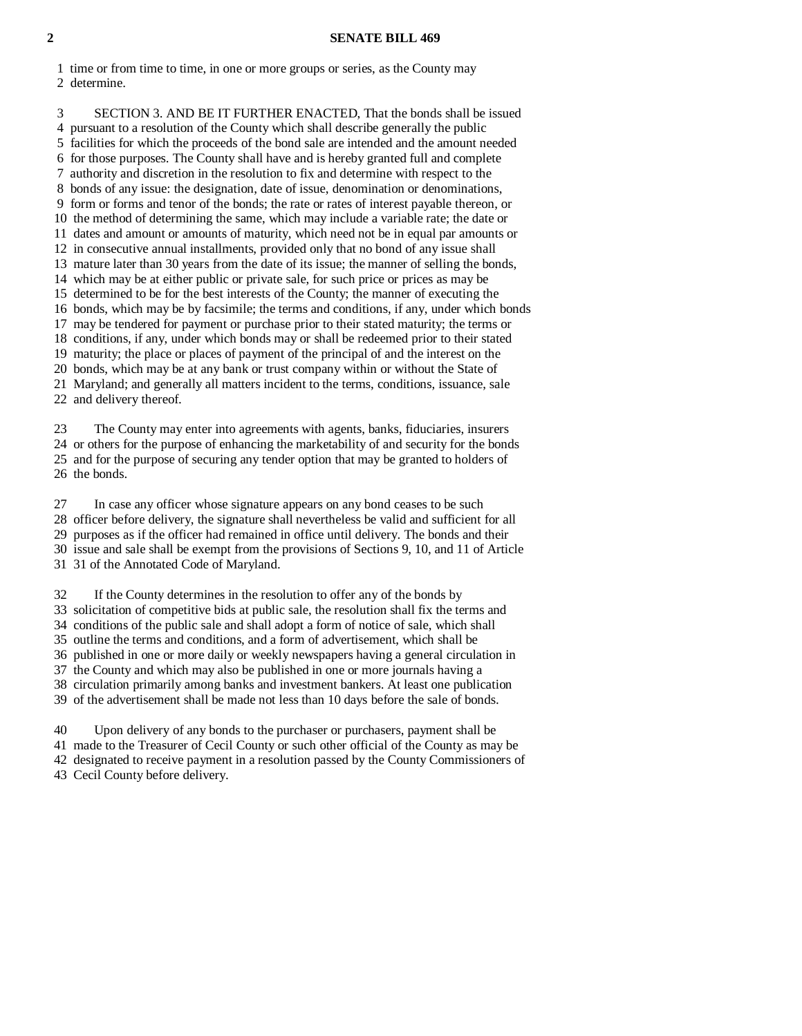#### **2 SENATE BILL 469**

 1 time or from time to time, in one or more groups or series, as the County may 2 determine.

 3 SECTION 3. AND BE IT FURTHER ENACTED, That the bonds shall be issued 4 pursuant to a resolution of the County which shall describe generally the public 5 facilities for which the proceeds of the bond sale are intended and the amount needed 6 for those purposes. The County shall have and is hereby granted full and complete 7 authority and discretion in the resolution to fix and determine with respect to the 8 bonds of any issue: the designation, date of issue, denomination or denominations, 9 form or forms and tenor of the bonds; the rate or rates of interest payable thereon, or 10 the method of determining the same, which may include a variable rate; the date or 11 dates and amount or amounts of maturity, which need not be in equal par amounts or 12 in consecutive annual installments, provided only that no bond of any issue shall 13 mature later than 30 years from the date of its issue; the manner of selling the bonds, 14 which may be at either public or private sale, for such price or prices as may be 15 determined to be for the best interests of the County; the manner of executing the 16 bonds, which may be by facsimile; the terms and conditions, if any, under which bonds 17 may be tendered for payment or purchase prior to their stated maturity; the terms or 18 conditions, if any, under which bonds may or shall be redeemed prior to their stated 19 maturity; the place or places of payment of the principal of and the interest on the 20 bonds, which may be at any bank or trust company within or without the State of 21 Maryland; and generally all matters incident to the terms, conditions, issuance, sale 22 and delivery thereof.

 23 The County may enter into agreements with agents, banks, fiduciaries, insurers 24 or others for the purpose of enhancing the marketability of and security for the bonds 25 and for the purpose of securing any tender option that may be granted to holders of 26 the bonds.

 27 In case any officer whose signature appears on any bond ceases to be such 28 officer before delivery, the signature shall nevertheless be valid and sufficient for all 29 purposes as if the officer had remained in office until delivery. The bonds and their 30 issue and sale shall be exempt from the provisions of Sections 9, 10, and 11 of Article 31 31 of the Annotated Code of Maryland.

 32 If the County determines in the resolution to offer any of the bonds by 33 solicitation of competitive bids at public sale, the resolution shall fix the terms and 34 conditions of the public sale and shall adopt a form of notice of sale, which shall 35 outline the terms and conditions, and a form of advertisement, which shall be 36 published in one or more daily or weekly newspapers having a general circulation in 37 the County and which may also be published in one or more journals having a 38 circulation primarily among banks and investment bankers. At least one publication 39 of the advertisement shall be made not less than 10 days before the sale of bonds.

 40 Upon delivery of any bonds to the purchaser or purchasers, payment shall be 41 made to the Treasurer of Cecil County or such other official of the County as may be 42 designated to receive payment in a resolution passed by the County Commissioners of 43 Cecil County before delivery.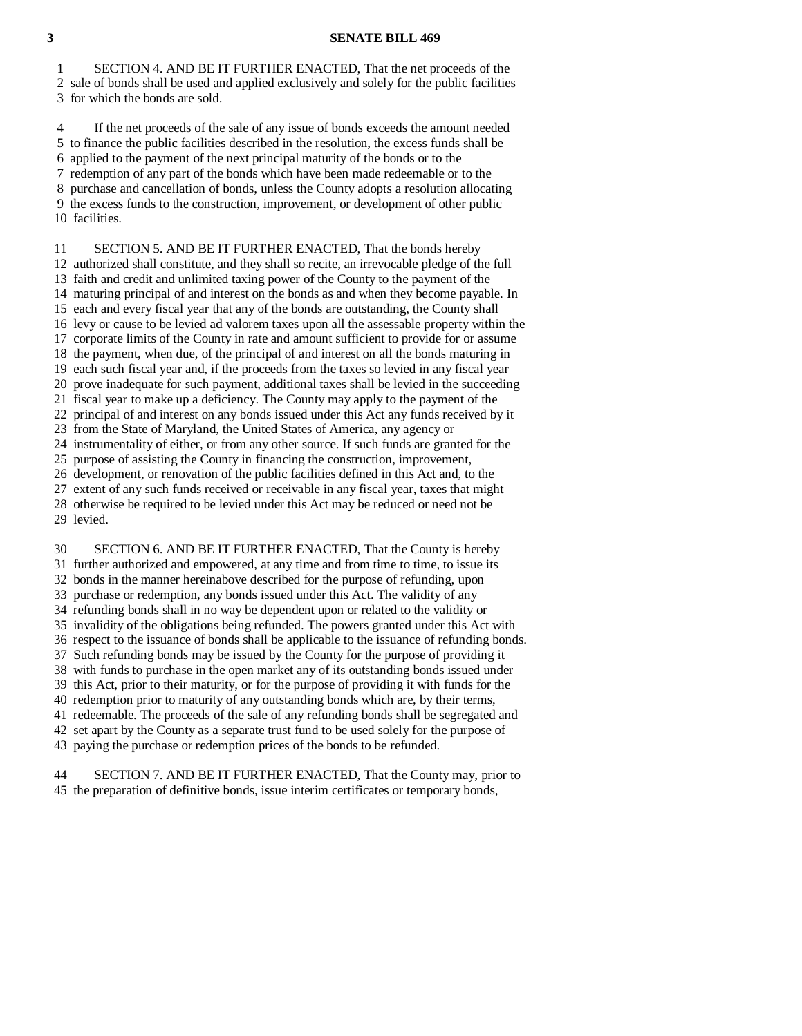### **3 SENATE BILL 469**

 1 SECTION 4. AND BE IT FURTHER ENACTED, That the net proceeds of the 2 sale of bonds shall be used and applied exclusively and solely for the public facilities 3 for which the bonds are sold.

 4 If the net proceeds of the sale of any issue of bonds exceeds the amount needed 5 to finance the public facilities described in the resolution, the excess funds shall be 6 applied to the payment of the next principal maturity of the bonds or to the 7 redemption of any part of the bonds which have been made redeemable or to the 8 purchase and cancellation of bonds, unless the County adopts a resolution allocating 9 the excess funds to the construction, improvement, or development of other public 10 facilities.

 11 SECTION 5. AND BE IT FURTHER ENACTED, That the bonds hereby 12 authorized shall constitute, and they shall so recite, an irrevocable pledge of the full 13 faith and credit and unlimited taxing power of the County to the payment of the 14 maturing principal of and interest on the bonds as and when they become payable. In 15 each and every fiscal year that any of the bonds are outstanding, the County shall 16 levy or cause to be levied ad valorem taxes upon all the assessable property within the 17 corporate limits of the County in rate and amount sufficient to provide for or assume 18 the payment, when due, of the principal of and interest on all the bonds maturing in 19 each such fiscal year and, if the proceeds from the taxes so levied in any fiscal year 20 prove inadequate for such payment, additional taxes shall be levied in the succeeding 21 fiscal year to make up a deficiency. The County may apply to the payment of the 22 principal of and interest on any bonds issued under this Act any funds received by it 23 from the State of Maryland, the United States of America, any agency or 24 instrumentality of either, or from any other source. If such funds are granted for the 25 purpose of assisting the County in financing the construction, improvement, 26 development, or renovation of the public facilities defined in this Act and, to the 27 extent of any such funds received or receivable in any fiscal year, taxes that might 28 otherwise be required to be levied under this Act may be reduced or need not be

 29 levied. 30 SECTION 6. AND BE IT FURTHER ENACTED, That the County is hereby 31 further authorized and empowered, at any time and from time to time, to issue its 32 bonds in the manner hereinabove described for the purpose of refunding, upon 33 purchase or redemption, any bonds issued under this Act. The validity of any 34 refunding bonds shall in no way be dependent upon or related to the validity or 35 invalidity of the obligations being refunded. The powers granted under this Act with 36 respect to the issuance of bonds shall be applicable to the issuance of refunding bonds. 37 Such refunding bonds may be issued by the County for the purpose of providing it 38 with funds to purchase in the open market any of its outstanding bonds issued under 39 this Act, prior to their maturity, or for the purpose of providing it with funds for the 40 redemption prior to maturity of any outstanding bonds which are, by their terms, 41 redeemable. The proceeds of the sale of any refunding bonds shall be segregated and 42 set apart by the County as a separate trust fund to be used solely for the purpose of

43 paying the purchase or redemption prices of the bonds to be refunded.

 44 SECTION 7. AND BE IT FURTHER ENACTED, That the County may, prior to 45 the preparation of definitive bonds, issue interim certificates or temporary bonds,